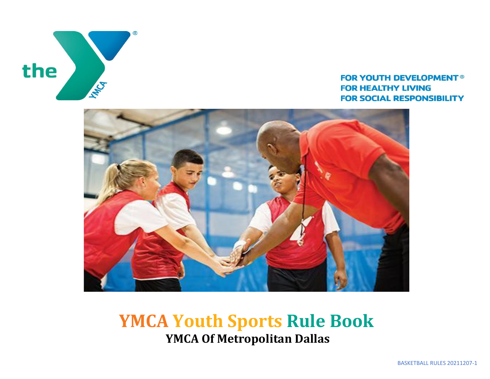

### **FOR YOUTH DEVELOPMENT® FOR HEALTHY LIVING FOR SOCIAL RESPONSIBILITY**



## **YMCA Youth Sports Rule Book YMCA Of Metropolitan Dallas**

BASKETBALL RULES 20211207-1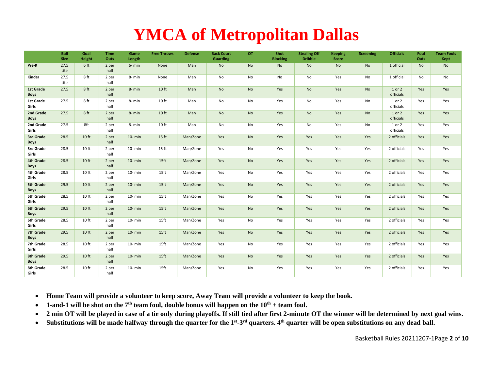# **YMCA of Metropolitan Dallas**

|                                 | Ball<br><b>Size</b> | Goal<br>Height   | <b>Time</b><br>Outs | Game<br>Length | <b>Free Throws</b> | <b>Defense</b> | <b>Back Court</b><br><b>Guarding</b> | OT        | Shot<br><b>Blocking</b> | <b>Stealing Off</b><br><b>Dribble</b> | <b>Keeping</b><br>Score | <b>Screening</b> | <b>Officials</b>    | Foul<br>Outs | <b>Team Fouls</b><br>Kept |
|---------------------------------|---------------------|------------------|---------------------|----------------|--------------------|----------------|--------------------------------------|-----------|-------------------------|---------------------------------------|-------------------------|------------------|---------------------|--------------|---------------------------|
| Pre-K                           | 27.5<br>Lite        | 6 ft             | 2 per<br>half       | $6- min$       | None               | Man            | <b>No</b>                            | No        | <b>No</b>               | <b>No</b>                             | <b>No</b>               | No               | 1 official          | <b>No</b>    | No                        |
| Kinder                          | 27.5<br>Lite        | 8 ft             | 2 per<br>half       | 8- min         | None               | Man            | No                                   | No        | No                      | No                                    | Yes                     | No               | 1 official          | No           | No                        |
| 1st Grade<br><b>Boys</b>        | 27.5                | 8ft              | 2 per<br>half       | $8- min$       | 10 ft              | Man            | <b>No</b>                            | <b>No</b> | Yes                     | <b>No</b>                             | Yes                     | <b>No</b>        | 1 or 2<br>officials | Yes          | Yes                       |
| 1st Grade<br>Girls              | 27.5                | 8 ft             | 2 per<br>half       | 8- min         | 10 ft              | Man            | No                                   | No        | Yes                     | No                                    | Yes                     | No               | 1 or 2<br>officials | Yes          | Yes                       |
| 2nd Grade<br><b>Boys</b>        | 27.5                | 8ft              | 2 per<br>half       | 8-min          | 10 ft              | Man            | <b>No</b>                            | No        | Yes                     | <b>No</b>                             | Yes                     | No               | 1 or 2<br>officials | Yes          | Yes                       |
| 2nd Grade<br>Girls              | 27.5                | 8ft              | 2 per<br>half       | 8-min          | 10 ft              | Man            | No                                   | No        | Yes                     | No                                    | Yes                     | No               | 1 or 2<br>officials | Yes          | Yes                       |
| 3rd Grade<br><b>Boys</b>        | 28.5                | 10 ft            | 2 per<br>half       | $10- min$      | $15$ ft            | Man/Zone       | Yes                                  | No        | Yes                     | Yes                                   | Yes                     | Yes              | 2 officials         | Yes          | Yes                       |
| 3rd Grade<br>Girls              | 28.5                | 10 <sub>ft</sub> | 2 per<br>half       | 10- min        | 15 ft              | Man/Zone       | Yes                                  | No        | Yes                     | Yes                                   | Yes                     | Yes              | 2 officials         | Yes          | Yes                       |
| 4th Grade<br><b>Boys</b>        | 28.5                | 10 ft            | 2 per<br>half       | $10 - min$     | 15 <sub>ft</sub>   | Man/Zone       | Yes                                  | No        | Yes                     | Yes                                   | Yes                     | Yes              | 2 officials         | Yes          | Yes                       |
| 4th Grade<br>Girls              | 28.5                | 10 <sub>ft</sub> | 2 per<br>half       | $10- min$      | 15ft               | Man/Zone       | Yes                                  | No        | Yes                     | Yes                                   | Yes                     | Yes              | 2 officials         | Yes          | Yes                       |
| <b>5th Grade</b><br><b>Boys</b> | 29.5                | 10 ft            | 2 per<br>half       | $10- min$      | 15 <sub>ft</sub>   | Man/Zone       | Yes                                  | No        | Yes                     | Yes                                   | Yes                     | Yes              | 2 officials         | Yes          | Yes                       |
| 5th Grade<br>Girls              | 28.5                | 10 <sub>ft</sub> | 2 per<br>half       | $10- min$      | 15ft               | Man/Zone       | Yes                                  | No        | Yes                     | Yes                                   | Yes                     | Yes              | 2 officials         | Yes          | Yes                       |
| 6th Grade<br><b>Boys</b>        | 29.5                | 10 ft            | 2 per<br>half       | $10- min$      | 15 <sub>ft</sub>   | Man/Zone       | Yes                                  | No        | Yes                     | Yes                                   | Yes                     | Yes              | 2 officials         | Yes          | Yes                       |
| 6th Grade<br>Girls              | 28.5                | 10 <sub>ft</sub> | 2 per<br>half       | $10- min$      | 15ft               | Man/Zone       | Yes                                  | No        | Yes                     | Yes                                   | Yes                     | Yes              | 2 officials         | Yes          | Yes                       |
| 7th Grade<br><b>Boys</b>        | 29.5                | 10 ft            | 2 per<br>half       | $10- min$      | 15ft               | Man/Zone       | Yes                                  | No        | Yes                     | Yes                                   | Yes                     | Yes              | 2 officials         | Yes          | Yes                       |
| 7th Grade<br>Girls              | 28.5                | 10 <sub>ft</sub> | 2 per<br>half       | $10- min$      | 15ft               | Man/Zone       | Yes                                  | No        | Yes                     | Yes                                   | Yes                     | Yes              | 2 officials         | Yes          | Yes                       |
| 8th Grade<br>Boys               | 29.5                | 10 ft            | 2 per<br>half       | $10- min$      | 15 <sub>ft</sub>   | Man/Zone       | Yes                                  | No        | Yes                     | Yes                                   | Yes                     | Yes              | 2 officials         | Yes          | Yes                       |
| 8th Grade<br>Girls              | 28.5                | 10 ft            | 2 per<br>half       | $10- min$      | 15ft               | Man/Zone       | Yes                                  | No        | Yes                     | Yes                                   | Yes                     | Yes              | 2 officials         | Yes          | Yes                       |

• **Home Team will provide a volunteer to keep score, Away Team will provide a volunteer to keep the book.**

- **1-and-1 will be shot on the**  $7<sup>th</sup>$  **team foul, double bonus will happen on the**  $10<sup>th</sup>$  **+ team foul.**
- **2 min OT will be played in case of a tie only during playoffs. If still tied after first 2-minute OT the winner will be determined by next goal wins.**
- Substitutions will be made halfway through the quarter for the 1<sup>st</sup>-3<sup>rd</sup> quarters. 4<sup>th</sup> quarter will be open substitutions on any dead ball.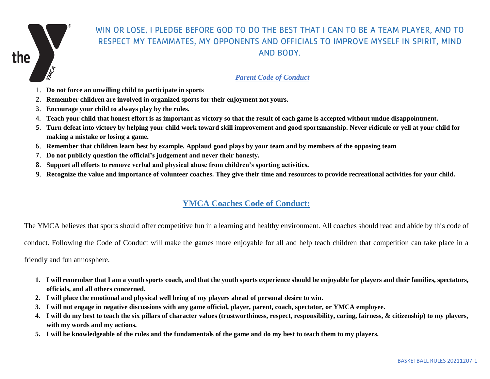

## WIN OR LOSE, I PLEDGE BEFORE GOD TO DO THE BEST THAT I CAN TO BE A TEAM PLAYER, AND TO RESPECT MY TEAMMATES, MY OPPONENTS AND OFFICIALS TO IMPROVE MYSELF IN SPIRIT, MIND AND BODY.

#### *Parent Code of Conduct*

- 1. **Do not force an unwilling child to participate in sports**
- 2. **Remember children are involved in organized sports for their enjoyment not yours.**
- 3. **Encourage your child to always play by the rules.**
- 4. **Teach your child that honest effort is as important as victory so that the result of each game is accepted without undue disappointment.**
- 5. **Turn defeat into victory by helping your child work toward skill improvement and good sportsmanship. Never ridicule or yell at your child for making a mistake or losing a game.**
- 6. **Remember that children learn best by example. Applaud good plays by your team and by members of the opposing team**
- 7. **Do not publicly question the official's judgement and never their honesty.**
- 8. **Support all efforts to remove verbal and physical abuse from children's sporting activities.**
- 9. **Recognize the value and importance of volunteer coaches. They give their time and resources to provide recreational activities for your child.**

## **YMCA Coaches Code of Conduct:**

The YMCA believes that sports should offer competitive fun in a learning and healthy environment. All coaches should read and abide by this code of

conduct. Following the Code of Conduct will make the games more enjoyable for all and help teach children that competition can take place in a

friendly and fun atmosphere.

- **1. I will remember that I am a youth sports coach, and that the youth sports experience should be enjoyable for players and their families, spectators, officials, and all others concerned.**
- **2. I will place the emotional and physical well being of my players ahead of personal desire to win.**
- **3. I will not engage in negative discussions with any game official, player, parent, coach, spectator, or YMCA employee.**
- **4. I will do my best to teach the six pillars of character values (trustworthiness, respect, responsibility, caring, fairness, & citizenship) to my players, with my words and my actions.**
- **5. I will be knowledgeable of the rules and the fundamentals of the game and do my best to teach them to my players.**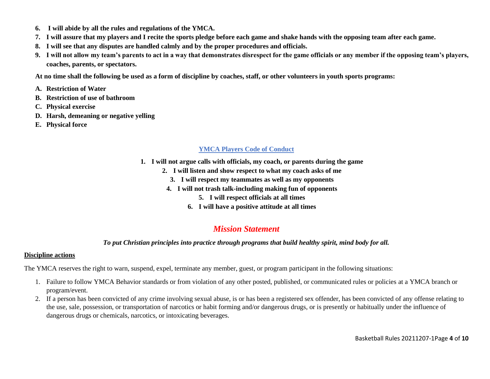- **6. I will abide by all the rules and regulations of the YMCA.**
- **7. I will assure that my players and I recite the sports pledge before each game and shake hands with the opposing team after each game.**
- **8. I will see that any disputes are handled calmly and by the proper procedures and officials.**
- **9. I will not allow my team's parents to act in a way that demonstrates disrespect for the game officials or any member if the opposing team's players, coaches, parents, or spectators.**

**At no time shall the following be used as a form of discipline by coaches, staff, or other volunteers in youth sports programs:**

- **A. Restriction of Water**
- **B. Restriction of use of bathroom**
- **C. Physical exercise**
- **D. Harsh, demeaning or negative yelling**
- **E. Physical force**

#### **YMCA Players Code of Conduct**

- **1. I will not argue calls with officials, my coach, or parents during the game**
	- **2. I will listen and show respect to what my coach asks of me**
		- **3. I will respect my teammates as well as my opponents**
	- **4. I will not trash talk-including making fun of opponents**
		- **5. I will respect officials at all times**
		- **6. I will have a positive attitude at all times**

## *Mission Statement*

#### *To put Christian principles into practice through programs that build healthy spirit, mind body for all.*

#### **Discipline actions**

The YMCA reserves the right to warn, suspend, expel, terminate any member, guest, or program participant in the following situations:

- 1. Failure to follow YMCA Behavior standards or from violation of any other posted, published, or communicated rules or policies at a YMCA branch or program/event.
- 2. If a person has been convicted of any crime involving sexual abuse, is or has been a registered sex offender, has been convicted of any offense relating to the use, sale, possession, or transportation of narcotics or habit forming and/or dangerous drugs, or is presently or habitually under the influence of dangerous drugs or chemicals, narcotics, or intoxicating beverages.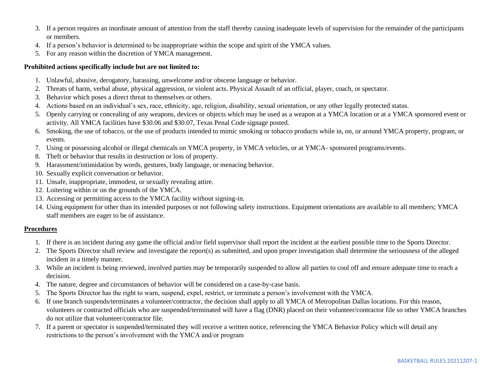- 3. If a person requires an inordinate amount of attention from the staff thereby causing inadequate levels of supervision for the remainder of the participants or members.
- 4. If a person's behavior is determined to be inappropriate within the scope and spirit of the YMCA values.
- 5. For any reason within the discretion of YMCA management.

#### **Prohibited actions specifically include but are not limited to:**

- 1. Unlawful, abusive, derogatory, harassing, unwelcome and/or obscene language or behavior.
- 2. Threats of harm, verbal abuse, physical aggression, or violent acts. Physical Assault of an official, player, coach, or spectator.
- 3. Behavior which poses a direct threat to themselves or others.
- 4. Actions based on an individual's sex, race, ethnicity, age, religion, disability, sexual orientation, or any other legally protected status.
- 5. Openly carrying or concealing of any weapons, devices or objects which may be used as a weapon at a YMCA location or at a YMCA sponsored event or activity. All YMCA facilities have \$30.06 and \$30.07, Texas Penal Code signage posted.
- 6. Smoking, the use of tobacco, or the use of products intended to mimic smoking or tobacco products while in, on, or around YMCA property, program, or events.
- 7. Using or possessing alcohol or illegal chemicals on YMCA property, in YMCA vehicles, or at YMCA- sponsored programs/events.
- 8. Theft or behavior that results in destruction or loss of property.
- 9. Harassment/intimidation by words, gestures, body language, or menacing behavior.
- 10. Sexually explicit conversation or behavior.
- 11. Unsafe, inappropriate, immodest, or sexually revealing attire.
- 12. Loitering within or on the grounds of the YMCA.
- 13. Accessing or permitting access to the YMCA facility without signing-in.
- 14. Using equipment for other than its intended purposes or not following safety instructions. Equipment orientations are available to all members; YMCA staff members are eager to be of assistance.

#### **Procedures**

- 1. If there is an incident during any game the official and/or field supervisor shall report the incident at the earliest possible time to the Sports Director.
- 2. The Sports Director shall review and investigate the report(s) as submitted, and upon proper investigation shall determine the seriousness of the alleged incident in a timely manner.
- 3. While an incident is being reviewed, involved parties may be temporarily suspended to allow all parties to cool off and ensure adequate time to reach a decision.
- 4. The nature, degree and circumstances of behavior will be considered on a case-by-case basis.
- 5. The Sports Director has the right to warn, suspend, expel, restrict, or terminate a person's involvement with the YMCA.
- 6. If one branch suspends/terminates a volunteer/contractor, the decision shall apply to all YMCA of Metropolitan Dallas locations. For this reason, volunteers or contracted officials who are suspended/terminated will have a flag (DNR) placed on their volunteer/contractor file so other YMCA branches do not utilize that volunteer/contractor file.
- 7. If a parent or spectator is suspended/terminated they will receive a written notice, referencing the YMCA Behavior Policy which will detail any restrictions to the person's involvement with the YMCA and/or program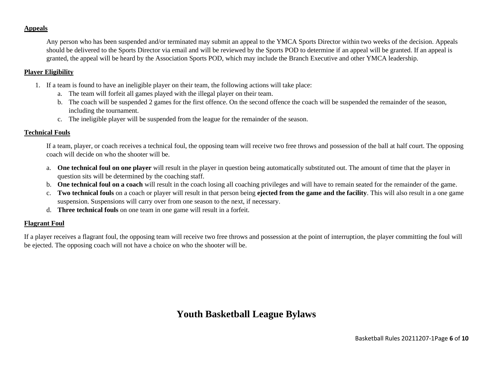#### **Appeals**

Any person who has been suspended and/or terminated may submit an appeal to the YMCA Sports Director within two weeks of the decision. Appeals should be delivered to the Sports Director via email and will be reviewed by the Sports POD to determine if an appeal will be granted. If an appeal is granted, the appeal will be heard by the Association Sports POD, which may include the Branch Executive and other YMCA leadership.

#### **Player Eligibility**

- 1. If a team is found to have an ineligible player on their team, the following actions will take place:
	- a. The team will forfeit all games played with the illegal player on their team.
	- b. The coach will be suspended 2 games for the first offence. On the second offence the coach will be suspended the remainder of the season, including the tournament.
	- c. The ineligible player will be suspended from the league for the remainder of the season.

#### **Technical Fouls**

If a team, player, or coach receives a technical foul, the opposing team will receive two free throws and possession of the ball at half court. The opposing coach will decide on who the shooter will be.

- a. **One technical foul on one player** will result in the player in question being automatically substituted out. The amount of time that the player in question sits will be determined by the coaching staff.
- b. **One technical foul on a coach** will result in the coach losing all coaching privileges and will have to remain seated for the remainder of the game.
- c. **Two technical fouls** on a coach or player will result in that person being **ejected from the game and the facility**. This will also result in a one game suspension. Suspensions will carry over from one season to the next, if necessary.
- d. **Three technical fouls** on one team in one game will result in a forfeit.

#### **Flagrant Foul**

If a player receives a flagrant foul, the opposing team will receive two free throws and possession at the point of interruption, the player committing the foul will be ejected. The opposing coach will not have a choice on who the shooter will be.

## **Youth Basketball League Bylaws**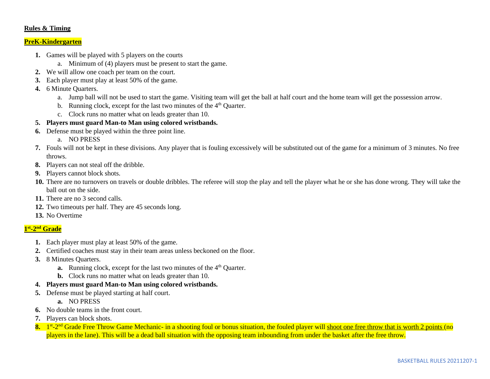#### **Rules & Timing**

#### **PreK-Kindergarten**

- **1.** Games will be played with 5 players on the courts
	- a. Minimum of (4) players must be present to start the game.
- **2.** We will allow one coach per team on the court.
- **3.** Each player must play at least 50% of the game.
- **4.** 6 Minute Quarters.
	- a. Jump ball will not be used to start the game. Visiting team will get the ball at half court and the home team will get the possession arrow.
	- b. Running clock, except for the last two minutes of the  $4<sup>th</sup>$  Quarter.
	- c. Clock runs no matter what on leads greater than 10.
- **5. Players must guard Man-to Man using colored wristbands.**
- **6.** Defense must be played within the three point line.
	- a. NO PRESS
- **7.** Fouls will not be kept in these divisions. Any player that is fouling excessively will be substituted out of the game for a minimum of 3 minutes. No free throws.
- **8.** Players can not steal off the dribble.
- **9.** Players cannot block shots.
- **10.** There are no turnovers on travels or double dribbles. The referee will stop the play and tell the player what he or she has done wrong. They will take the ball out on the side.
- **11.** There are no 3 second calls.
- **12.** Two timeouts per half. They are 45 seconds long.
- **13.** No Overtime

#### **1 st -2 nd Grade**

- **1.** Each player must play at least 50% of the game.
- **2.** Certified coaches must stay in their team areas unless beckoned on the floor.
- **3.** 8 Minutes Quarters.
	- **a.** Running clock, except for the last two minutes of the 4<sup>th</sup> Quarter.
	- **b.** Clock runs no matter what on leads greater than 10.
- **4. Players must guard Man-to Man using colored wristbands.**
- **5.** Defense must be played starting at half court.
	- **a.** NO PRESS
- **6.** No double teams in the front court.
- **7.** Players can block shots.
- 8. 1<sup>st</sup>-2<sup>nd</sup> Grade Free Throw Game Mechanic- in a shooting foul or bonus situation, the fouled player will shoot one free throw that is worth 2 points (no players in the lane). This will be a dead ball situation with the opposing team inbounding from under the basket after the free throw.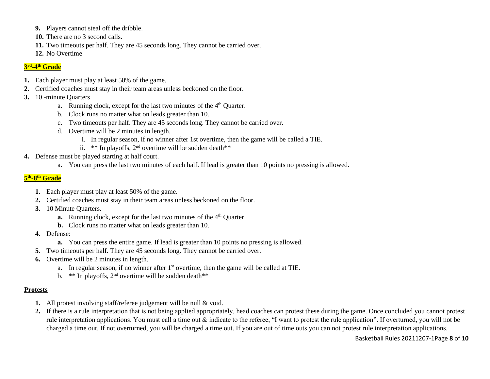- **9.** Players cannot steal off the dribble.
- **10.** There are no 3 second calls.
- **11.** Two timeouts per half. They are 45 seconds long. They cannot be carried over.
- **12.** No Overtime

#### **3 rd -4 th Grade**

- **1.** Each player must play at least 50% of the game.
- **2.** Certified coaches must stay in their team areas unless beckoned on the floor.
- **3.** 10 -minute Quarters
	- a. Running clock, except for the last two minutes of the 4<sup>th</sup> Quarter.
	- b. Clock runs no matter what on leads greater than 10.
	- c. Two timeouts per half. They are 45 seconds long. They cannot be carried over.
	- d. Overtime will be 2 minutes in length.
		- i. In regular season, if no winner after 1st overtime, then the game will be called a TIE.
		- ii.  $**$  In playoffs, 2<sup>nd</sup> overtime will be sudden death\*\*
- **4.** Defense must be played starting at half court.
	- a. You can press the last two minutes of each half. If lead is greater than 10 points no pressing is allowed.

#### **5 th -8 th Grade**

- **1.** Each player must play at least 50% of the game.
- **2.** Certified coaches must stay in their team areas unless beckoned on the floor.
- **3.** 10 Minute Quarters.
	- **a.** Running clock, except for the last two minutes of the 4<sup>th</sup> Quarter
	- **b.** Clock runs no matter what on leads greater than 10.
- **4.** Defense:
	- **a.** You can press the entire game. If lead is greater than 10 points no pressing is allowed.
- **5.** Two timeouts per half. They are 45 seconds long. They cannot be carried over.
- **6.** Overtime will be 2 minutes in length.
	- a. In regular season, if no winner after 1st overtime, then the game will be called at TIE.
	- b. \*\* In playoffs,  $2<sup>nd</sup>$  overtime will be sudden death\*\*

#### **Protests**

- **1.** All protest involving staff/referee judgement will be null & void.
- **2.** If there is a rule interpretation that is not being applied appropriately, head coaches can protest these during the game. Once concluded you cannot protest rule interpretation applications. You must call a time out & indicate to the referee, "I want to protest the rule application". If overturned, you will not be charged a time out. If not overturned, you will be charged a time out. If you are out of time outs you can not protest rule interpretation applications.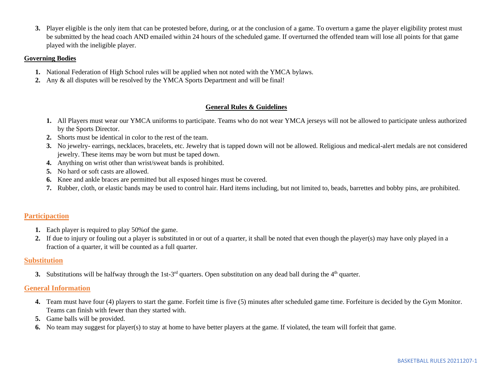**3.** Player eligible is the only item that can be protested before, during, or at the conclusion of a game. To overturn a game the player eligibility protest must be submitted by the head coach AND emailed within 24 hours of the scheduled game. If overturned the offended team will lose all points for that game played with the ineligible player.

#### **Governing Bodies**

- **1.** National Federation of High School rules will be applied when not noted with the YMCA bylaws.
- **2.** Any & all disputes will be resolved by the YMCA Sports Department and will be final!

#### **General Rules & Guidelines**

- **1.** All Players must wear our YMCA uniforms to participate. Teams who do not wear YMCA jerseys will not be allowed to participate unless authorized by the Sports Director.
- **2.** Shorts must be identical in color to the rest of the team.
- **3.** No jewelry- earrings, necklaces, bracelets, etc. Jewelry that is tapped down will not be allowed. Religious and medical-alert medals are not considered jewelry. These items may be worn but must be taped down.
- **4.** Anything on wrist other than wrist/sweat bands is prohibited.
- **5.** No hard or soft casts are allowed.
- **6.** Knee and ankle braces are permitted but all exposed hinges must be covered.
- **7.** Rubber, cloth, or elastic bands may be used to control hair. Hard items including, but not limited to, beads, barrettes and bobby pins, are prohibited.

#### **Participaction**

- **1.** Each player is required to play 50%of the game.
- **2.** If due to injury or fouling out a player is substituted in or out of a quarter, it shall be noted that even though the player(s) may have only played in a fraction of a quarter, it will be counted as a full quarter.

#### **Substitution**

**3.** Substitutions will be halfway through the 1st-3<sup>rd</sup> quarters. Open substitution on any dead ball during the  $4<sup>th</sup>$  quarter.

#### **General Information**

- **4.** Team must have four (4) players to start the game. Forfeit time is five (5) minutes after scheduled game time. Forfeiture is decided by the Gym Monitor. Teams can finish with fewer than they started with.
- **5.** Game balls will be provided.
- **6.** No team may suggest for player(s) to stay at home to have better players at the game. If violated, the team will forfeit that game.